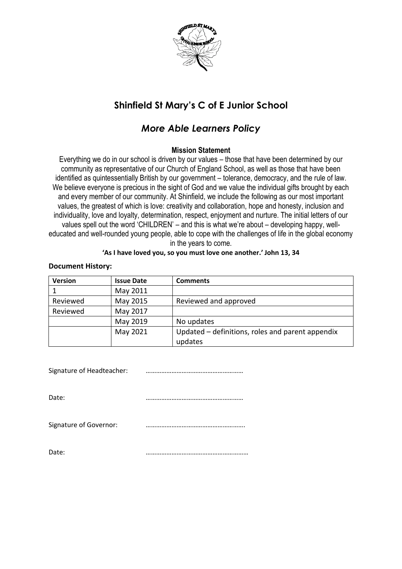

# **Shinfield St Mary's C of E Junior School**

## *More Able Learners Policy*

### **Mission Statement**

Everything we do in our school is driven by our values – those that have been determined by our community as representative of our Church of England School, as well as those that have been identified as quintessentially British by our government – tolerance, democracy, and the rule of law. We believe everyone is precious in the sight of God and we value the individual gifts brought by each and every member of our community. At Shinfield, we include the following as our most important values, the greatest of which is love: creativity and collaboration, hope and honesty, inclusion and individuality, love and loyalty, determination, respect, enjoyment and nurture. The initial letters of our values spell out the word 'CHILDREN' – and this is what we're about – developing happy, welleducated and well-rounded young people, able to cope with the challenges of life in the global economy in the years to come.

#### **'As I have loved you, so you must love one another.' John 13, 34**

#### **Document History:**

| <b>Version</b> | <b>Issue Date</b> | <b>Comments</b>                                  |
|----------------|-------------------|--------------------------------------------------|
|                | May 2011          |                                                  |
| Reviewed       | May 2015          | Reviewed and approved                            |
| Reviewed       | May 2017          |                                                  |
|                | May 2019          | No updates                                       |
|                | May 2021          | Updated – definitions, roles and parent appendix |
|                |                   | updates                                          |

Signature of Headteacher: …………………………………………………

Date: …………………………………………………

Signature of Governor: *www.main.main.main.main.main.main.main*.main.main.main.main.main.main.main.m

Date: ……………………………………………………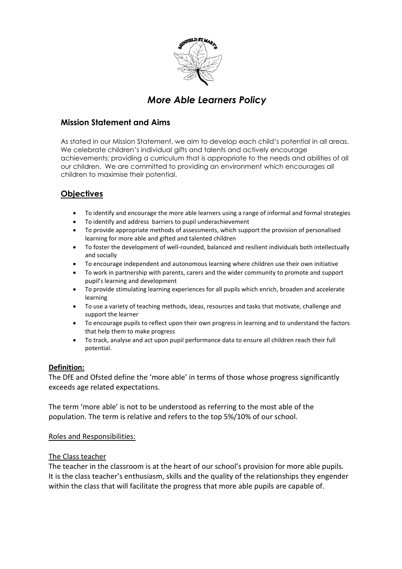

## *More Able Learners Policy*

## **Mission Statement and Aims**

As stated in our Mission Statement, we aim to develop each child's potential in all areas. We celebrate children's individual gifts and talents and actively encourage achievements; providing a curriculum that is appropriate to the needs and abilities of all our children. We are committed to providing an environment which encourages all children to maximise their potential.

## **Objectives**

- To identify and encourage the more able learners using a range of informal and formal strategies
- To identify and address barriers to pupil underachievement
- To provide appropriate methods of assessments, which support the provision of personalised learning for more able and gifted and talented children
- To foster the development of well-rounded, balanced and resilient individuals both intellectually and socially
- To encourage independent and autonomous learning where children use their own initiative
- To work in partnership with parents, carers and the wider community to promote and support pupil's learning and development
- To provide stimulating learning experiences for all pupils which enrich, broaden and accelerate learning
- To use a variety of teaching methods, ideas, resources and tasks that motivate, challenge and support the learner
- To encourage pupils to reflect upon their own progress in learning and to understand the factors that help them to make progress
- To track, analyse and act upon pupil performance data to ensure all children reach their full potential.

#### **Definition:**

The DfE and Ofsted define the 'more able' in terms of those whose progress significantly exceeds age related expectations.

The term 'more able' is not to be understood as referring to the most able of the population. The term is relative and refers to the top 5%/10% of our school.

#### Roles and Responsibilities:

#### The Class teacher

The teacher in the classroom is at the heart of our school's provision for more able pupils. It is the class teacher's enthusiasm, skills and the quality of the relationships they engender within the class that will facilitate the progress that more able pupils are capable of.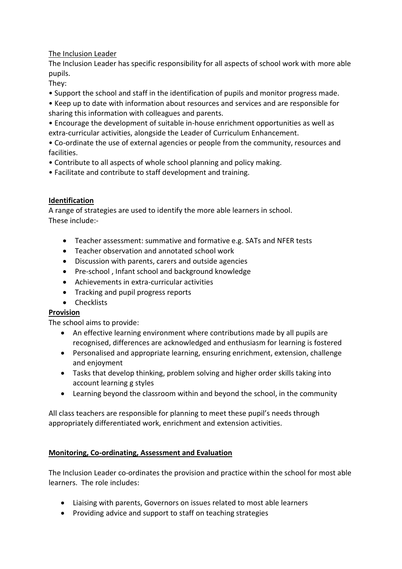## The Inclusion Leader

The Inclusion Leader has specific responsibility for all aspects of school work with more able pupils.

They:

• Support the school and staff in the identification of pupils and monitor progress made.

• Keep up to date with information about resources and services and are responsible for sharing this information with colleagues and parents.

• Encourage the development of suitable in-house enrichment opportunities as well as extra-curricular activities, alongside the Leader of Curriculum Enhancement.

• Co-ordinate the use of external agencies or people from the community, resources and facilities.

- Contribute to all aspects of whole school planning and policy making.
- Facilitate and contribute to staff development and training.

## **Identification**

A range of strategies are used to identify the more able learners in school. These include:-

- Teacher assessment: summative and formative e.g. SATs and NFER tests
- Teacher observation and annotated school work
- Discussion with parents, carers and outside agencies
- Pre-school, Infant school and background knowledge
- Achievements in extra-curricular activities
- Tracking and pupil progress reports
- Checklists

### **Provision**

The school aims to provide:

- An effective learning environment where contributions made by all pupils are recognised, differences are acknowledged and enthusiasm for learning is fostered
- Personalised and appropriate learning, ensuring enrichment, extension, challenge and enjoyment
- Tasks that develop thinking, problem solving and higher order skills taking into account learning g styles
- Learning beyond the classroom within and beyond the school, in the community

All class teachers are responsible for planning to meet these pupil's needs through appropriately differentiated work, enrichment and extension activities.

### **Monitoring, Co-ordinating, Assessment and Evaluation**

The Inclusion Leader co-ordinates the provision and practice within the school for most able learners. The role includes:

- Liaising with parents, Governors on issues related to most able learners
- Providing advice and support to staff on teaching strategies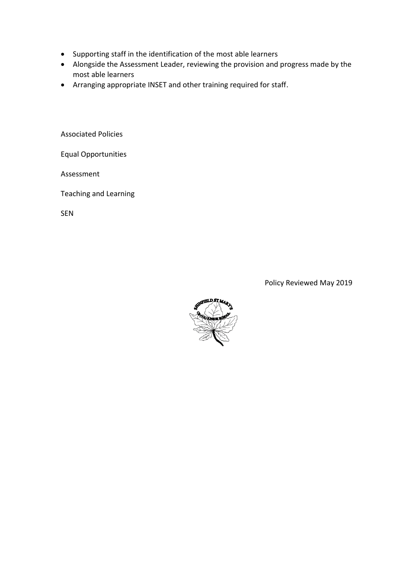- Supporting staff in the identification of the most able learners
- Alongside the Assessment Leader, reviewing the provision and progress made by the most able learners
- Arranging appropriate INSET and other training required for staff.

Associated Policies

Equal Opportunities

Assessment

Teaching and Learning

SEN

Policy Reviewed May 2019

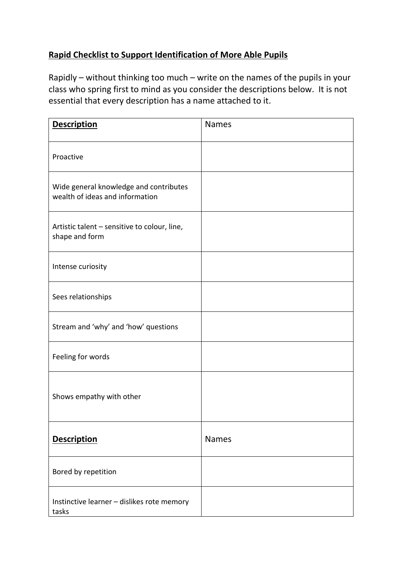## **Rapid Checklist to Support Identification of More Able Pupils**

Rapidly – without thinking too much – write on the names of the pupils in your class who spring first to mind as you consider the descriptions below. It is not essential that every description has a name attached to it.

| <b>Description</b>                                                        | <b>Names</b> |
|---------------------------------------------------------------------------|--------------|
| Proactive                                                                 |              |
| Wide general knowledge and contributes<br>wealth of ideas and information |              |
| Artistic talent - sensitive to colour, line,<br>shape and form            |              |
| Intense curiosity                                                         |              |
| Sees relationships                                                        |              |
| Stream and 'why' and 'how' questions                                      |              |
| Feeling for words                                                         |              |
| Shows empathy with other                                                  |              |
| <b>Description</b>                                                        | <b>Names</b> |
| Bored by repetition                                                       |              |
| Instinctive learner - dislikes rote memory<br>tasks                       |              |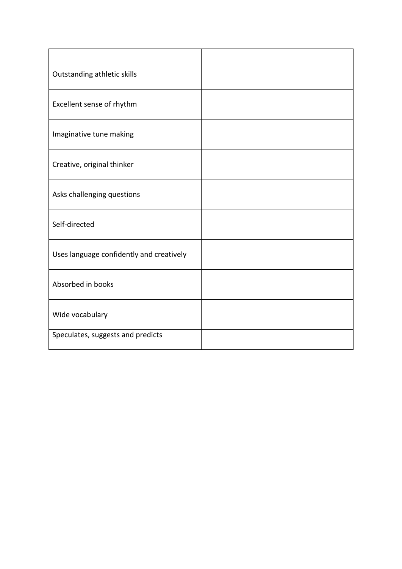| Outstanding athletic skills              |  |
|------------------------------------------|--|
| Excellent sense of rhythm                |  |
| Imaginative tune making                  |  |
| Creative, original thinker               |  |
| Asks challenging questions               |  |
| Self-directed                            |  |
| Uses language confidently and creatively |  |
| Absorbed in books                        |  |
| Wide vocabulary                          |  |
| Speculates, suggests and predicts        |  |